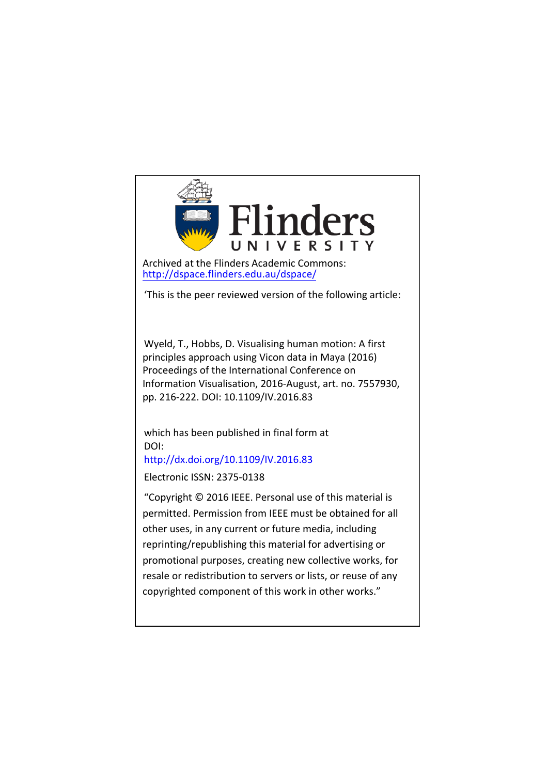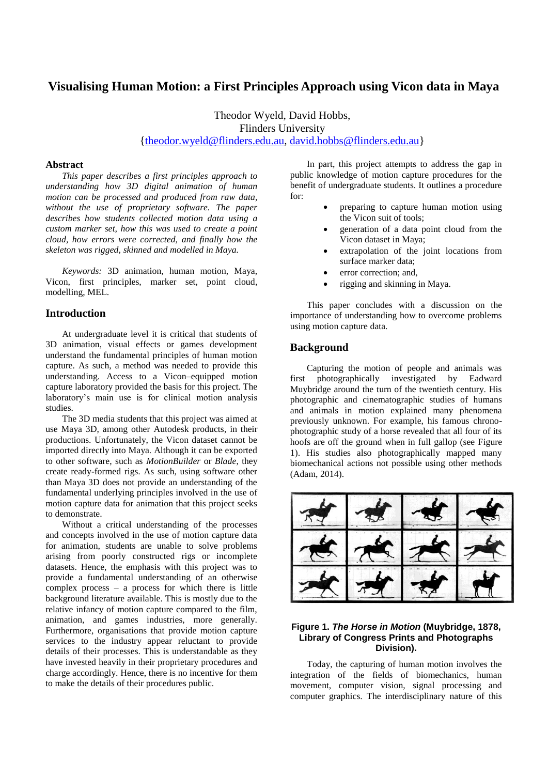# **Visualising Human Motion: a First Principles Approach using Vicon data in Maya**

Theodor Wyeld, David Hobbs, Flinders University [{theodor.wyeld@flinders.edu.au,](mailto:theodor.wyeld@flinders.edu.au) [david.hobbs@flinders.edu.au}](mailto:david.hobbs@flinders.edu.au)

#### **Abstract**

*This paper describes a first principles approach to understanding how 3D digital animation of human motion can be processed and produced from raw data, without the use of proprietary software. The paper describes how students collected motion data using a custom marker set, how this was used to create a point cloud, how errors were corrected, and finally how the skeleton was rigged, skinned and modelled in Maya.* 

*Keywords:* 3D animation, human motion, Maya, Vicon, first principles, marker set, point cloud, modelling, MEL.

### **Introduction**

At undergraduate level it is critical that students of 3D animation, visual effects or games development understand the fundamental principles of human motion capture. As such, a method was needed to provide this understanding. Access to a Vicon–equipped motion capture laboratory provided the basis for this project. The laboratory's main use is for clinical motion analysis studies.

The 3D media students that this project was aimed at use Maya 3D, among other Autodesk products, in their productions. Unfortunately, the Vicon dataset cannot be imported directly into Maya. Although it can be exported to other software, such as *MotionBuilder* or *Blade*, they create ready-formed rigs. As such, using software other than Maya 3D does not provide an understanding of the fundamental underlying principles involved in the use of motion capture data for animation that this project seeks to demonstrate.

Without a critical understanding of the processes and concepts involved in the use of motion capture data for animation, students are unable to solve problems arising from poorly constructed rigs or incomplete datasets. Hence, the emphasis with this project was to provide a fundamental understanding of an otherwise complex process – a process for which there is little background literature available. This is mostly due to the relative infancy of motion capture compared to the film, animation, and games industries, more generally. Furthermore, organisations that provide motion capture services to the industry appear reluctant to provide details of their processes. This is understandable as they have invested heavily in their proprietary procedures and charge accordingly. Hence, there is no incentive for them to make the details of their procedures public.

In part, this project attempts to address the gap in public knowledge of motion capture procedures for the benefit of undergraduate students. It outlines a procedure for:

- preparing to capture human motion using the Vicon suit of tools;
- generation of a data point cloud from the Vicon dataset in Maya;
- extrapolation of the joint locations from surface marker data;
- error correction; and,
- rigging and skinning in Maya.

This paper concludes with a discussion on the importance of understanding how to overcome problems using motion capture data.

## **Background**

Capturing the motion of people and animals was first photographically investigated by Eadward Muybridge around the turn of the twentieth century. His photographic and cinematographic studies of humans and animals in motion explained many phenomena previously unknown. For example, his famous chronophotographic study of a horse revealed that all four of its hoofs are off the ground when in full gallop (see Figure 1). His studies also photographically mapped many biomechanical actions not possible using other methods (Adam, 2014).



### **Figure 1.** *The Horse in Motion* **(Muybridge, 1878, Library of Congress Prints and Photographs Division).**

Today, the capturing of human motion involves the integration of the fields of biomechanics, human movement, computer vision, signal processing and computer graphics. The interdisciplinary nature of this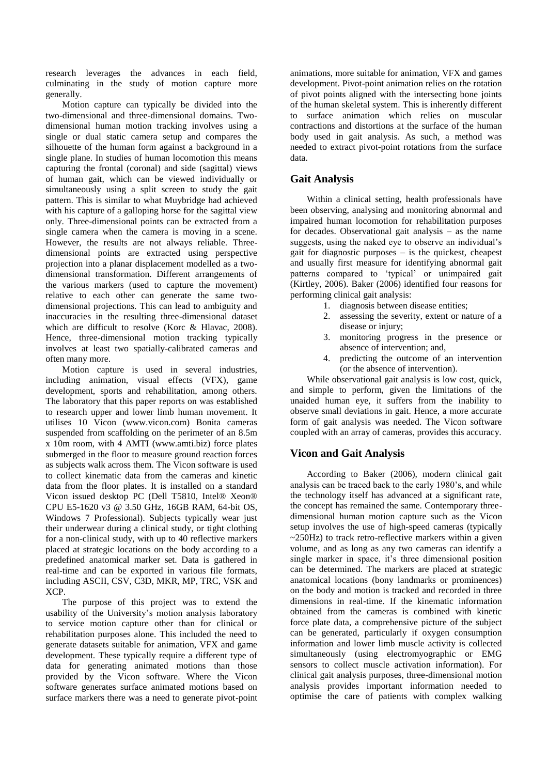research leverages the advances in each field, culminating in the study of motion capture more generally.

Motion capture can typically be divided into the two-dimensional and three-dimensional domains. Twodimensional human motion tracking involves using a single or dual static camera setup and compares the silhouette of the human form against a background in a single plane. In studies of human locomotion this means capturing the frontal (coronal) and side (sagittal) views of human gait, which can be viewed individually or simultaneously using a split screen to study the gait pattern. This is similar to what Muybridge had achieved with his capture of a galloping horse for the sagittal view only. Three-dimensional points can be extracted from a single camera when the camera is moving in a scene. However, the results are not always reliable. Threedimensional points are extracted using perspective projection into a planar displacement modelled as a twodimensional transformation. Different arrangements of the various markers (used to capture the movement) relative to each other can generate the same twodimensional projections. This can lead to ambiguity and inaccuracies in the resulting three-dimensional dataset which are difficult to resolve (Korc & Hlavac, 2008). Hence, three-dimensional motion tracking typically involves at least two spatially-calibrated cameras and often many more.

Motion capture is used in several industries, including animation, visual effects (VFX), game development, sports and rehabilitation, among others. The laboratory that this paper reports on was established to research upper and lower limb human movement. It utilises 10 Vicon (www.vicon.com) Bonita cameras suspended from scaffolding on the perimeter of an 8.5m x 10m room, with 4 AMTI (www.amti.biz) force plates submerged in the floor to measure ground reaction forces as subjects walk across them. The Vicon software is used to collect kinematic data from the cameras and kinetic data from the floor plates. It is installed on a standard Vicon issued desktop PC (Dell T5810, Intel® Xeon® CPU E5-1620 v3 @ 3.50 GHz, 16GB RAM, 64-bit OS, Windows 7 Professional). Subjects typically wear just their underwear during a clinical study, or tight clothing for a non-clinical study, with up to 40 reflective markers placed at strategic locations on the body according to a predefined anatomical marker set. Data is gathered in real-time and can be exported in various file formats, including ASCII, CSV, C3D, MKR, MP, TRC, VSK and XCP.

The purpose of this project was to extend the usability of the University's motion analysis laboratory to service motion capture other than for clinical or rehabilitation purposes alone. This included the need to generate datasets suitable for animation, VFX and game development. These typically require a different type of data for generating animated motions than those provided by the Vicon software. Where the Vicon software generates surface animated motions based on surface markers there was a need to generate pivot-point

animations, more suitable for animation, VFX and games development. Pivot-point animation relies on the rotation of pivot points aligned with the intersecting bone joints of the human skeletal system. This is inherently different to surface animation which relies on muscular contractions and distortions at the surface of the human body used in gait analysis. As such, a method was needed to extract pivot-point rotations from the surface data.

# **Gait Analysis**

Within a clinical setting, health professionals have been observing, analysing and monitoring abnormal and impaired human locomotion for rehabilitation purposes for decades. Observational gait analysis – as the name suggests, using the naked eye to observe an individual's gait for diagnostic purposes – is the quickest, cheapest and usually first measure for identifying abnormal gait patterns compared to 'typical' or unimpaired gait (Kirtley, 2006). Baker (2006) identified four reasons for performing clinical gait analysis:

- 1. diagnosis between disease entities;
- 2. assessing the severity, extent or nature of a disease or injury;
- 3. monitoring progress in the presence or absence of intervention; and,
- 4. predicting the outcome of an intervention (or the absence of intervention).

While observational gait analysis is low cost, quick, and simple to perform, given the limitations of the unaided human eye, it suffers from the inability to observe small deviations in gait. Hence, a more accurate form of gait analysis was needed. The Vicon software coupled with an array of cameras, provides this accuracy.

# **Vicon and Gait Analysis**

According to Baker (2006), modern clinical gait analysis can be traced back to the early 1980's, and while the technology itself has advanced at a significant rate, the concept has remained the same. Contemporary threedimensional human motion capture such as the Vicon setup involves the use of high-speed cameras (typically ~250Hz) to track retro-reflective markers within a given volume, and as long as any two cameras can identify a single marker in space, it's three dimensional position can be determined. The markers are placed at strategic anatomical locations (bony landmarks or prominences) on the body and motion is tracked and recorded in three dimensions in real-time. If the kinematic information obtained from the cameras is combined with kinetic force plate data, a comprehensive picture of the subject can be generated, particularly if oxygen consumption information and lower limb muscle activity is collected simultaneously (using electromyographic or EMG sensors to collect muscle activation information). For clinical gait analysis purposes, three-dimensional motion analysis provides important information needed to optimise the care of patients with complex walking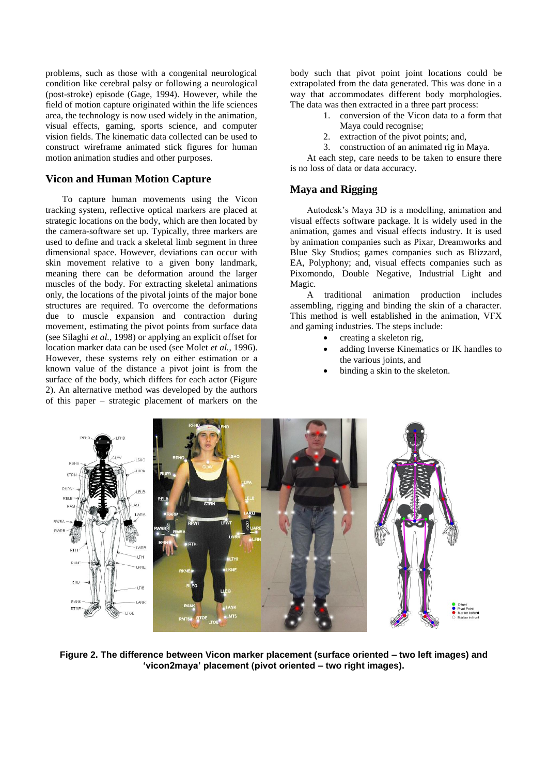problems, such as those with a congenital neurological condition like cerebral palsy or following a neurological (post-stroke) episode (Gage, 1994). However, while the field of motion capture originated within the life sciences area, the technology is now used widely in the animation, visual effects, gaming, sports science, and computer vision fields. The kinematic data collected can be used to construct wireframe animated stick figures for human motion animation studies and other purposes.

# **Vicon and Human Motion Capture**

To capture human movements using the Vicon tracking system, reflective optical markers are placed at strategic locations on the body, which are then located by the camera-software set up. Typically, three markers are used to define and track a skeletal limb segment in three dimensional space. However, deviations can occur with skin movement relative to a given bony landmark, meaning there can be deformation around the larger muscles of the body. For extracting skeletal animations only, the locations of the pivotal joints of the major bone structures are required. To overcome the deformations due to muscle expansion and contraction during movement, estimating the pivot points from surface data (see Silaghi *et al.*, 1998) or applying an explicit offset for location marker data can be used (see Molet *et al.*, 1996). However, these systems rely on either estimation or a known value of the distance a pivot joint is from the surface of the body, which differs for each actor (Figure 2). An alternative method was developed by the authors of this paper – strategic placement of markers on the

body such that pivot point joint locations could be extrapolated from the data generated. This was done in a way that accommodates different body morphologies. The data was then extracted in a three part process:

- 1. conversion of the Vicon data to a form that Maya could recognise;
- 2. extraction of the pivot points; and,
- 3. construction of an animated rig in Maya.

At each step, care needs to be taken to ensure there is no loss of data or data accuracy.

# **Maya and Rigging**

Autodesk's Maya 3D is a modelling, animation and visual effects software package. It is widely used in the animation, games and visual effects industry. It is used by animation companies such as Pixar, Dreamworks and Blue Sky Studios; games companies such as Blizzard, EA, Polyphony; and, visual effects companies such as Pixomondo, Double Negative, Industrial Light and Magic.

A traditional animation production includes assembling, rigging and binding the skin of a character. This method is well established in the animation, VFX and gaming industries. The steps include:

- creating a skeleton rig,
- adding Inverse Kinematics or IK handles to the various joints, and
- binding a skin to the skeleton.



**Figure 2. The difference between Vicon marker placement (surface oriented – two left images) and 'vicon2maya' placement (pivot oriented – two right images).**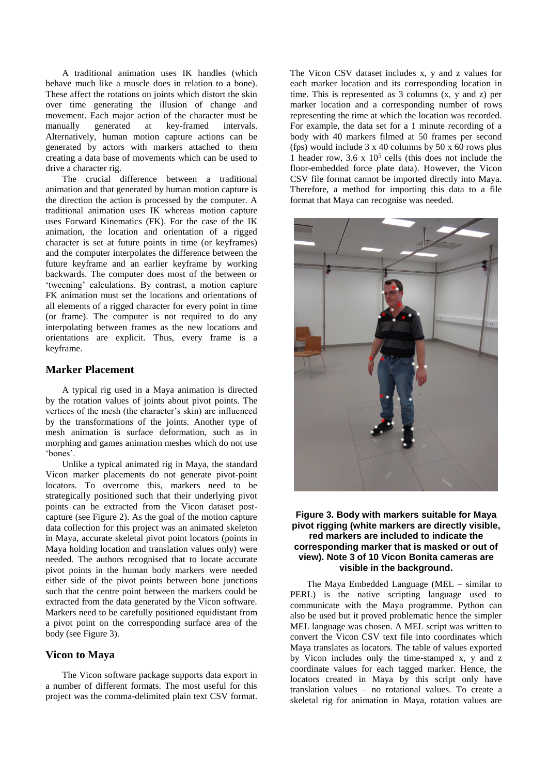A traditional animation uses IK handles (which behave much like a muscle does in relation to a bone). These affect the rotations on joints which distort the skin over time generating the illusion of change and movement. Each major action of the character must be manually generated at key-framed intervals. Alternatively, human motion capture actions can be generated by actors with markers attached to them creating a data base of movements which can be used to drive a character rig.

The crucial difference between a traditional animation and that generated by human motion capture is the direction the action is processed by the computer. A traditional animation uses IK whereas motion capture uses Forward Kinematics (FK). For the case of the IK animation, the location and orientation of a rigged character is set at future points in time (or keyframes) and the computer interpolates the difference between the future keyframe and an earlier keyframe by working backwards. The computer does most of the between or 'tweening' calculations. By contrast, a motion capture FK animation must set the locations and orientations of all elements of a rigged character for every point in time (or frame). The computer is not required to do any interpolating between frames as the new locations and orientations are explicit. Thus, every frame is a keyframe.

### **Marker Placement**

A typical rig used in a Maya animation is directed by the rotation values of joints about pivot points. The vertices of the mesh (the character's skin) are influenced by the transformations of the joints. Another type of mesh animation is surface deformation, such as in morphing and games animation meshes which do not use 'bones'.

Unlike a typical animated rig in Maya, the standard Vicon marker placements do not generate pivot-point locators. To overcome this, markers need to be strategically positioned such that their underlying pivot points can be extracted from the Vicon dataset postcapture (see Figure 2). As the goal of the motion capture data collection for this project was an animated skeleton in Maya, accurate skeletal pivot point locators (points in Maya holding location and translation values only) were needed. The authors recognised that to locate accurate pivot points in the human body markers were needed either side of the pivot points between bone junctions such that the centre point between the markers could be extracted from the data generated by the Vicon software. Markers need to be carefully positioned equidistant from a pivot point on the corresponding surface area of the body (see Figure 3).

# **Vicon to Maya**

The Vicon software package supports data export in a number of different formats. The most useful for this project was the comma-delimited plain text CSV format. The Vicon CSV dataset includes x, y and z values for each marker location and its corresponding location in time. This is represented as 3 columns (x, y and z) per marker location and a corresponding number of rows representing the time at which the location was recorded. For example, the data set for a 1 minute recording of a body with 40 markers filmed at 50 frames per second (fps) would include  $3 \times 40$  columns by  $50 \times 60$  rows plus 1 header row,  $3.6 \times 10^5$  cells (this does not include the floor-embedded force plate data). However, the Vicon CSV file format cannot be imported directly into Maya. Therefore, a method for importing this data to a file format that Maya can recognise was needed.



#### **Figure 3. Body with markers suitable for Maya pivot rigging (white markers are directly visible, red markers are included to indicate the corresponding marker that is masked or out of view). Note 3 of 10 Vicon Bonita cameras are visible in the background.**

The Maya Embedded Language (MEL – similar to PERL) is the native scripting language used to communicate with the Maya programme. Python can also be used but it proved problematic hence the simpler MEL language was chosen. A MEL script was written to convert the Vicon CSV text file into coordinates which Maya translates as locators. The table of values exported by Vicon includes only the time-stamped x, y and z coordinate values for each tagged marker. Hence, the locators created in Maya by this script only have translation values – no rotational values. To create a skeletal rig for animation in Maya, rotation values are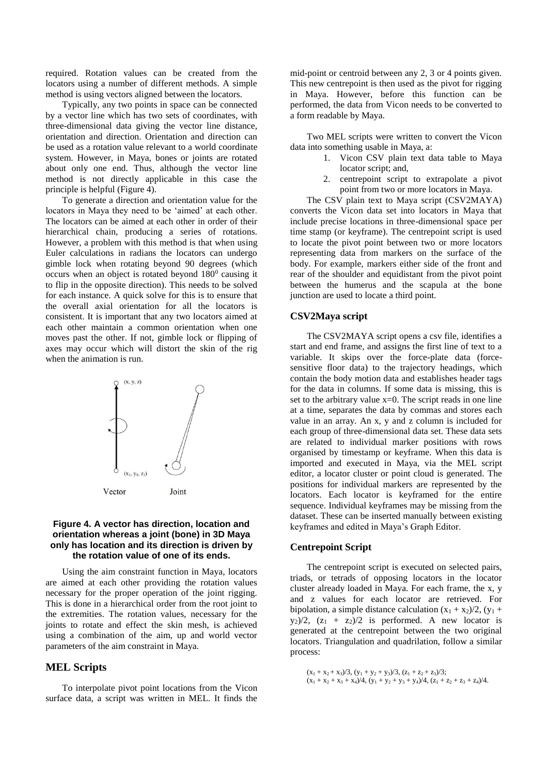required. Rotation values can be created from the locators using a number of different methods. A simple method is using vectors aligned between the locators.

Typically, any two points in space can be connected by a vector line which has two sets of coordinates, with three-dimensional data giving the vector line distance, orientation and direction. Orientation and direction can be used as a rotation value relevant to a world coordinate system. However, in Maya, bones or joints are rotated about only one end. Thus, although the vector line method is not directly applicable in this case the principle is helpful (Figure 4).

To generate a direction and orientation value for the locators in Maya they need to be 'aimed' at each other. The locators can be aimed at each other in order of their hierarchical chain, producing a series of rotations. However, a problem with this method is that when using Euler calculations in radians the locators can undergo gimble lock when rotating beyond 90 degrees (which occurs when an object is rotated beyond  $180^{\circ}$  causing it to flip in the opposite direction). This needs to be solved for each instance. A quick solve for this is to ensure that the overall axial orientation for all the locators is consistent. It is important that any two locators aimed at each other maintain a common orientation when one moves past the other. If not, gimble lock or flipping of axes may occur which will distort the skin of the rig when the animation is run.



#### **Figure 4. A vector has direction, location and orientation whereas a joint (bone) in 3D Maya only has location and its direction is driven by the rotation value of one of its ends.**

Using the aim constraint function in Maya, locators are aimed at each other providing the rotation values necessary for the proper operation of the joint rigging. This is done in a hierarchical order from the root joint to the extremities. The rotation values, necessary for the joints to rotate and effect the skin mesh, is achieved using a combination of the aim, up and world vector parameters of the aim constraint in Maya.

# **MEL Scripts**

To interpolate pivot point locations from the Vicon surface data, a script was written in MEL. It finds the

mid-point or centroid between any 2, 3 or 4 points given. This new centrepoint is then used as the pivot for rigging in Maya. However, before this function can be performed, the data from Vicon needs to be converted to a form readable by Maya.

Two MEL scripts were written to convert the Vicon data into something usable in Maya, a:

- 1. Vicon CSV plain text data table to Maya locator script; and,
- 2. centrepoint script to extrapolate a pivot point from two or more locators in Maya.

The CSV plain text to Maya script (CSV2MAYA) converts the Vicon data set into locators in Maya that include precise locations in three-dimensional space per time stamp (or keyframe). The centrepoint script is used to locate the pivot point between two or more locators representing data from markers on the surface of the body. For example, markers either side of the front and rear of the shoulder and equidistant from the pivot point between the humerus and the scapula at the bone junction are used to locate a third point.

#### **CSV2Maya script**

The CSV2MAYA script opens a csv file, identifies a start and end frame, and assigns the first line of text to a variable. It skips over the force-plate data (forcesensitive floor data) to the trajectory headings, which contain the body motion data and establishes header tags for the data in columns. If some data is missing, this is set to the arbitrary value  $x=0$ . The script reads in one line at a time, separates the data by commas and stores each value in an array. An x, y and z column is included for each group of three-dimensional data set. These data sets are related to individual marker positions with rows organised by timestamp or keyframe. When this data is imported and executed in Maya, via the MEL script editor, a locator cluster or point cloud is generated. The positions for individual markers are represented by the locators. Each locator is keyframed for the entire sequence. Individual keyframes may be missing from the dataset. These can be inserted manually between existing keyframes and edited in Maya's Graph Editor.

### **Centrepoint Script**

The centrepoint script is executed on selected pairs, triads, or tetrads of opposing locators in the locator cluster already loaded in Maya. For each frame, the x, y and z values for each locator are retrieved. For bipolation, a simple distance calculation  $(x_1 + x_2)/2$ ,  $(y_1 +$  $y_2$ /2,  $(z_1 + z_2)/2$  is performed. A new locator is generated at the centrepoint between the two original locators. Triangulation and quadrilation, follow a similar process:

 $(x_1 + x_2 + x_3)/3$ ,  $(y_1 + y_2 + y_3)/3$ ,  $(z_1 + z_2 + z_3)/3$ ;  $(x_1 + x_2 + x_3 + x_4)/4$ ,  $(y_1 + y_2 + y_3 + y_4)/4$ ,  $(z_1 + z_2 + z_3 + z_4)/4$ .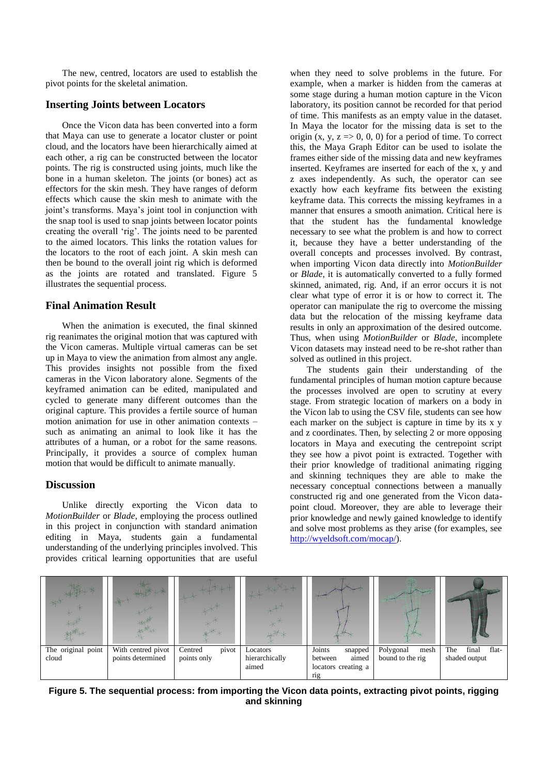The new, centred, locators are used to establish the pivot points for the skeletal animation.

### **Inserting Joints between Locators**

Once the Vicon data has been converted into a form that Maya can use to generate a locator cluster or point cloud, and the locators have been hierarchically aimed at each other, a rig can be constructed between the locator points. The rig is constructed using joints, much like the bone in a human skeleton. The joints (or bones) act as effectors for the skin mesh. They have ranges of deform effects which cause the skin mesh to animate with the joint's transforms. Maya's joint tool in conjunction with the snap tool is used to snap joints between locator points creating the overall 'rig'. The joints need to be parented to the aimed locators. This links the rotation values for the locators to the root of each joint. A skin mesh can then be bound to the overall joint rig which is deformed as the joints are rotated and translated. Figure 5 illustrates the sequential process.

#### **Final Animation Result**

When the animation is executed, the final skinned rig reanimates the original motion that was captured with the Vicon cameras. Multiple virtual cameras can be set up in Maya to view the animation from almost any angle. This provides insights not possible from the fixed cameras in the Vicon laboratory alone. Segments of the keyframed animation can be edited, manipulated and cycled to generate many different outcomes than the original capture. This provides a fertile source of human motion animation for use in other animation contexts – such as animating an animal to look like it has the attributes of a human, or a robot for the same reasons. Principally, it provides a source of complex human motion that would be difficult to animate manually.

#### **Discussion**

Unlike directly exporting the Vicon data to *MotionBuilder* or *Blade*, employing the process outlined in this project in conjunction with standard animation editing in Maya, students gain a fundamental understanding of the underlying principles involved. This provides critical learning opportunities that are useful

when they need to solve problems in the future. For example, when a marker is hidden from the cameras at some stage during a human motion capture in the Vicon laboratory, its position cannot be recorded for that period of time. This manifests as an empty value in the dataset. In Maya the locator for the missing data is set to the origin  $(x, y, z \Rightarrow 0, 0, 0)$  for a period of time. To correct this, the Maya Graph Editor can be used to isolate the frames either side of the missing data and new keyframes inserted. Keyframes are inserted for each of the x, y and z axes independently. As such, the operator can see exactly how each keyframe fits between the existing keyframe data. This corrects the missing keyframes in a manner that ensures a smooth animation. Critical here is that the student has the fundamental knowledge necessary to see what the problem is and how to correct it, because they have a better understanding of the overall concepts and processes involved. By contrast, when importing Vicon data directly into *MotionBuilder* or *Blade*, it is automatically converted to a fully formed skinned, animated, rig. And, if an error occurs it is not clear what type of error it is or how to correct it. The operator can manipulate the rig to overcome the missing data but the relocation of the missing keyframe data results in only an approximation of the desired outcome. Thus, when using *MotionBuilder* or *Blade*, incomplete Vicon datasets may instead need to be re-shot rather than solved as outlined in this project.

The students gain their understanding of the fundamental principles of human motion capture because the processes involved are open to scrutiny at every stage. From strategic location of markers on a body in the Vicon lab to using the CSV file, students can see how each marker on the subject is capture in time by its x y and z coordinates. Then, by selecting 2 or more opposing locators in Maya and executing the centrepoint script they see how a pivot point is extracted. Together with their prior knowledge of traditional animating rigging and skinning techniques they are able to make the necessary conceptual connections between a manually constructed rig and one generated from the Vicon datapoint cloud. Moreover, they are able to leverage their prior knowledge and newly gained knowledge to identify and solve most problems as they arise (for examples, see [http://wyeldsoft.com/mocap/\)](http://wyeldsoft.com/mocap/).



**Figure 5. The sequential process: from importing the Vicon data points, extracting pivot points, rigging and skinning**